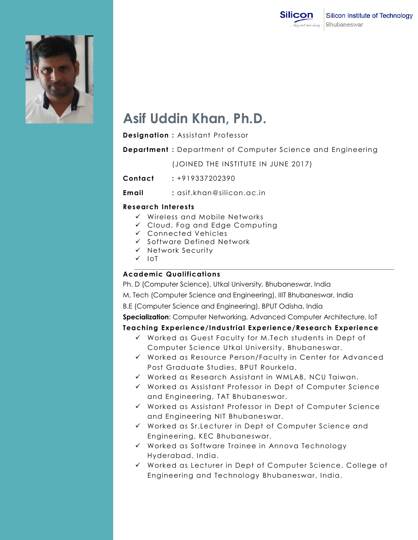



# **Asif Uddin Khan, Ph.D.**

**Designation :** Assistant Professor

**Department :** Department of Computer Science and Engineering

(JOINED THE INSTITUTE IN JUNE 2017)

**Contact :** +919337202390

**Email :** asif.khan@silicon.ac.in

## **Research Interests**

- $\checkmark$  Wireless and Mobile Networks
- Cloud, Fog and Edge Computing
- Connected Vehicles
- $\checkmark$  Software Defined Network
- $\checkmark$  Network Security
- $\sqrt{10}$

## **Academic Qualifications .**

Ph. D (Computer Science), Utkal University, Bhubaneswar, India

M. Tech (Computer Science and Engineering), IIIT Bhubaneswar, India

B.E (Computer Science and Engineering), BPUT Odisha, India

**Specialization**: Computer Networking, Advanced Computer Architecture, IoT

### **Teaching Experience/Industrial Experience/Research Experience**

- $\checkmark$  Worked as Guest Faculty for M.Tech students in Dept of Computer Science Utkal University, Bhubaneswar.
- Worked as Resource Person/Faculty in Center for Advanced Post Graduate Studies, BPUT Rourkela.
- $\checkmark$  Worked as Research Assistant in WMLAB, NCU Taiwan.
- $\checkmark$  Worked as Assistant Professor in Dept of Computer Science and Engineering, TAT Bhubaneswar.
- Worked as Assistant Professor in Dept of Computer Science and Engineering NIT Bhubaneswar.
- Worked as Sr.Lecturer in Dept of Computer Science and Engineering, KEC Bhubaneswar.
- Worked as Software Trainee in Annova Technology Hyderabad, India.
- Worked as Lecturer in Dept of Computer Science, College of Engineering and Technology Bhubaneswar, India.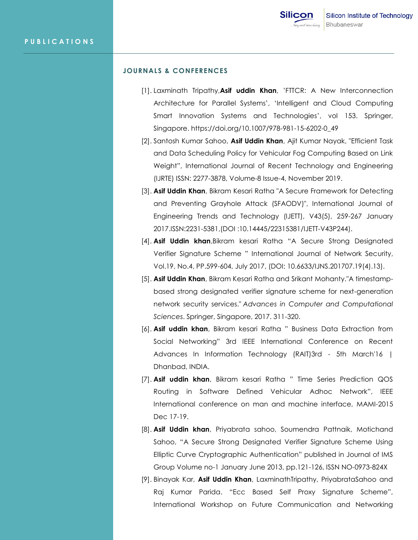### **JOURNALS & CONFERENCES**

- [1]. Laxminath Tripathy,**Asif uddin Khan**, "FTTCR: A New Interconnection Architecture for Parallel Systems", "Intelligent and Cloud Computing Smart Innovation Systems and Technologies', vol 153. Springer, Singapore. https://doi.org/10.1007/978-981-15-6202-0\_49
- [2]. Santosh Kumar Sahoo, **Asif Uddin Khan**, Ajit Kumar Nayak, "Efficient Task and Data Scheduling Policy for Vehicular Fog Computing Based on Link Weight", International Journal of Recent Technology and Engineering (IJRTE) ISSN: 2277-3878, Volume-8 Issue-4, November 2019.
- [3]. **Asif Uddin Khan**, Bikram Kesari Ratha "A Secure Framework for Detecting and Preventing Grayhole Attack (SFAODV)", International Journal of Engineering Trends and Technology (IJETT), V43(5), 259-267 January 2017.ISSN:2231-5381,(DOI :10.14445/22315381/IJETT-V43P244).
- [4]. **Asif Uddin khan**,Bikram kesari Ratha "A Secure Strong Designated Verifier Signature Scheme " International Journal of Network Security, Vol.19, No.4, PP.599-604, July 2017, (DOI: 10.6633/IJNS.201707.19(4).13).
- [5]. **Asif Uddin Khan**, Bikram Kesari Ratha and Srikant Mohanty."A timestampbased strong designated verifier signature scheme for next-generation network security services." *Advances in Computer and Computational Sciences*. Springer, Singapore, 2017. 311-320.
- [6]. **Asif uddin khan**, Bikram kesari Ratha " Business Data Extraction from Social Networking" 3rd IEEE International Conference on Recent Advances In Information Technology (RAIT)3rd - 5th March'16 | Dhanbad, INDIA.
- [7]. **Asif uddin khan**, Bikram kesari Ratha " Time Series Prediction QOS Routing in Software Defined Vehicular Adhoc Network", IEEE International conference on man and machine interface, MAMI-2015 Dec 17-19.
- [8]. **Asif Uddin khan**, Priyabrata sahoo, Soumendra Pattnaik, Motichand Sahoo, "A Secure Strong Designated Verifier Signature Scheme Using Elliptic Curve Cryptographic Authentication" published in Journal of IMS Group Volume no-1 January June 2013, pp.121-126, ISSN NO-0973-824X
- [9]. Binayak Kar, **Asif Uddin Khan**, LaxminathTripathy, PriyabrataSahoo and Raj Kumar Parida. "Ecc Based Self Proxy Signature Scheme", International Workshop on Future Communication and Networking